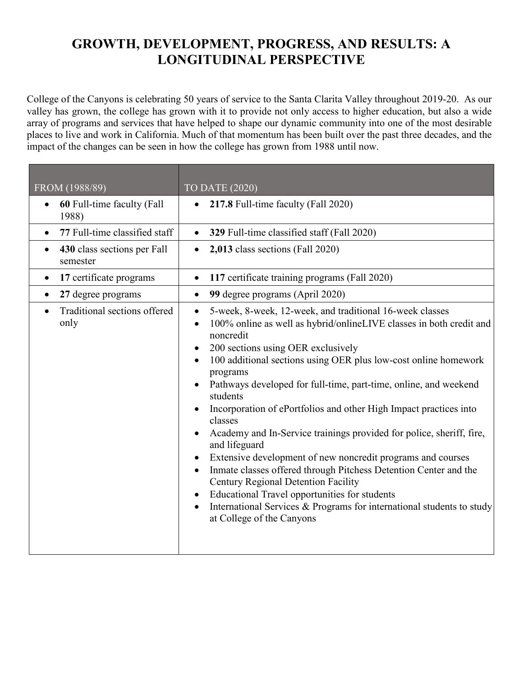## **GROWTH, DEVELOPMENT, PROGRESS, AND RESULTS: A LONGITUDINAL PERSPECTIVE**

 valley has grown, the college has grown with it to provide not only access to higher education, but also a wide impact of the changes can be seen in how the college has grown from 1988 until now. College of the Canyons is celebrating 50 years of service to the Santa Clarita Valley throughout 2019-20. As our array of programs and services that have helped to shape our dynamic community into one of the most desirable places to live and work in California. Much of that momentum has been built over the past three decades, and the

| FROM (1988/89)                                       | <b>TO DATE (2020)</b>                                                                                                                                                                                                                                                                                                                                                                                                                                                                                                                                                                                                                                                                                                                                                                                                                                                                                                               |
|------------------------------------------------------|-------------------------------------------------------------------------------------------------------------------------------------------------------------------------------------------------------------------------------------------------------------------------------------------------------------------------------------------------------------------------------------------------------------------------------------------------------------------------------------------------------------------------------------------------------------------------------------------------------------------------------------------------------------------------------------------------------------------------------------------------------------------------------------------------------------------------------------------------------------------------------------------------------------------------------------|
| 60 Full-time faculty (Fall<br>$\bullet$<br>1988)     | 217.8 Full-time faculty (Fall 2020)<br>$\bullet$                                                                                                                                                                                                                                                                                                                                                                                                                                                                                                                                                                                                                                                                                                                                                                                                                                                                                    |
| 77 Full-time classified staff                        | 329 Full-time classified staff (Fall 2020)                                                                                                                                                                                                                                                                                                                                                                                                                                                                                                                                                                                                                                                                                                                                                                                                                                                                                          |
| 430 class sections per Fall<br>$\bullet$<br>semester | 2,013 class sections (Fall 2020)                                                                                                                                                                                                                                                                                                                                                                                                                                                                                                                                                                                                                                                                                                                                                                                                                                                                                                    |
| 17 certificate programs<br>$\bullet$                 | 117 certificate training programs (Fall 2020)<br>$\bullet$                                                                                                                                                                                                                                                                                                                                                                                                                                                                                                                                                                                                                                                                                                                                                                                                                                                                          |
| 27 degree programs<br>$\bullet$                      | 99 degree programs (April 2020)<br>$\bullet$                                                                                                                                                                                                                                                                                                                                                                                                                                                                                                                                                                                                                                                                                                                                                                                                                                                                                        |
| Traditional sections offered<br>only                 | 5-week, 8-week, 12-week, and traditional 16-week classes<br>$\bullet$<br>100% online as well as hybrid/onlineLIVE classes in both credit and<br>$\bullet$<br>noncredit<br>200 sections using OER exclusively<br>100 additional sections using OER plus low-cost online homework<br>$\bullet$<br>programs<br>Pathways developed for full-time, part-time, online, and weekend<br>students<br>Incorporation of ePortfolios and other High Impact practices into<br>classes<br>Academy and In-Service trainings provided for police, sheriff, fire,<br>and lifeguard<br>Extensive development of new noncredit programs and courses<br>Inmate classes offered through Pitchess Detention Center and the<br>$\bullet$<br><b>Century Regional Detention Facility</b><br>Educational Travel opportunities for students<br>International Services & Programs for international students to study<br>$\bullet$<br>at College of the Canyons |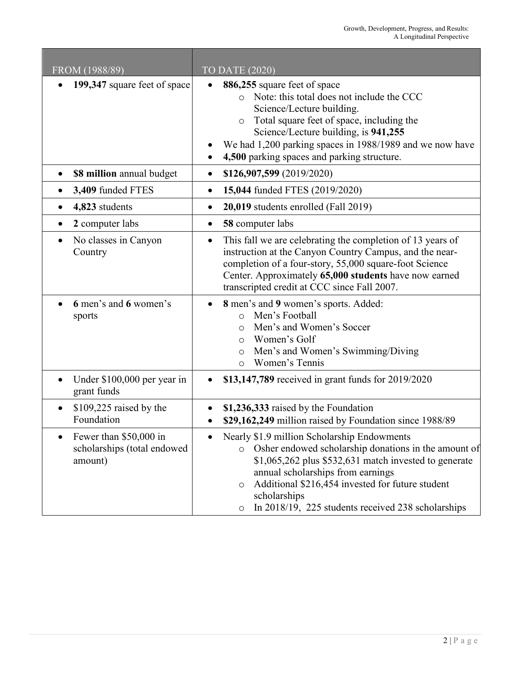| FROM (1988/89)                                                   | <b>TO DATE (2020)</b>                                                                                                                                                                                                                                                                                                                                          |
|------------------------------------------------------------------|----------------------------------------------------------------------------------------------------------------------------------------------------------------------------------------------------------------------------------------------------------------------------------------------------------------------------------------------------------------|
| 199,347 square feet of space                                     | 886,255 square feet of space<br>Note: this total does not include the CCC<br>$\circ$<br>Science/Lecture building.<br>Total square feet of space, including the<br>$\circ$<br>Science/Lecture building, is 941,255<br>We had 1,200 parking spaces in 1988/1989 and we now have<br>4,500 parking spaces and parking structure.                                   |
| \$8 million annual budget<br>$\bullet$                           | \$126,907,599 (2019/2020)<br>$\bullet$                                                                                                                                                                                                                                                                                                                         |
| 3,409 funded FTES                                                | 15,044 funded FTES (2019/2020)<br>٠                                                                                                                                                                                                                                                                                                                            |
| 4,823 students                                                   | 20,019 students enrolled (Fall 2019)<br>$\bullet$                                                                                                                                                                                                                                                                                                              |
| 2 computer labs                                                  | 58 computer labs<br>$\bullet$                                                                                                                                                                                                                                                                                                                                  |
| No classes in Canyon<br>Country                                  | This fall we are celebrating the completion of 13 years of<br>$\bullet$<br>instruction at the Canyon Country Campus, and the near-<br>completion of a four-story, 55,000 square-foot Science<br>Center. Approximately 65,000 students have now earned<br>transcripted credit at CCC since Fall 2007.                                                           |
| 6 men's and 6 women's<br>sports                                  | 8 men's and 9 women's sports. Added:<br>Men's Football<br>$\Omega$<br>Men's and Women's Soccer<br>$\circ$<br>Women's Golf<br>$\circ$<br>Men's and Women's Swimming/Diving<br>$\circ$<br>Women's Tennis<br>$\circ$                                                                                                                                              |
| Under \$100,000 per year in<br>grant funds                       | \$13,147,789 received in grant funds for 2019/2020                                                                                                                                                                                                                                                                                                             |
| $$109,225$ raised by the<br>Foundation                           | \$1,236,333 raised by the Foundation<br>\$29,162,249 million raised by Foundation since 1988/89                                                                                                                                                                                                                                                                |
| Fewer than \$50,000 in<br>scholarships (total endowed<br>amount) | Nearly \$1.9 million Scholarship Endowments<br>Osher endowed scholarship donations in the amount of<br>$\circ$<br>$$1,065,262$ plus $$532,631$ match invested to generate<br>annual scholarships from earnings<br>Additional \$216,454 invested for future student<br>$\circ$<br>scholarships<br>In 2018/19, 225 students received 238 scholarships<br>$\circ$ |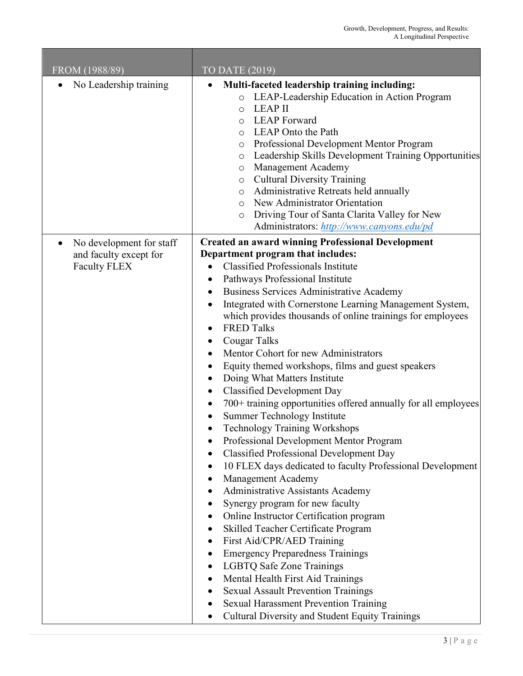| FROM (1988/89)                                                                         | TO DATE (2019)                                                                                                                                                                                                                                                                                                                                                                                                                                                                                                                                                                                                                                                                                                                                                                                                                                                                                                                                                                                                                                                                                                                                                                                                                                                                                                                                                                                                           |
|----------------------------------------------------------------------------------------|--------------------------------------------------------------------------------------------------------------------------------------------------------------------------------------------------------------------------------------------------------------------------------------------------------------------------------------------------------------------------------------------------------------------------------------------------------------------------------------------------------------------------------------------------------------------------------------------------------------------------------------------------------------------------------------------------------------------------------------------------------------------------------------------------------------------------------------------------------------------------------------------------------------------------------------------------------------------------------------------------------------------------------------------------------------------------------------------------------------------------------------------------------------------------------------------------------------------------------------------------------------------------------------------------------------------------------------------------------------------------------------------------------------------------|
| No Leadership training                                                                 | Multi-faceted leadership training including:<br>LEAP-Leadership Education in Action Program<br>$\circ$<br><b>LEAP II</b><br>$\circ$<br><b>LEAP</b> Forward<br>$\circ$<br>LEAP Onto the Path<br>$\circ$<br>Professional Development Mentor Program<br>$\circ$<br>Leadership Skills Development Training Opportunities<br>$\circ$<br>Management Academy<br>$\circ$<br><b>Cultural Diversity Training</b><br>$\circ$<br>Administrative Retreats held annually<br>$\circ$<br>New Administrator Orientation<br>$\circ$<br>Driving Tour of Santa Clarita Valley for New<br>O<br>Administrators: http://www.canyons.edu/pd                                                                                                                                                                                                                                                                                                                                                                                                                                                                                                                                                                                                                                                                                                                                                                                                      |
| No development for staff<br>$\bullet$<br>and faculty except for<br><b>Faculty FLEX</b> | <b>Created an award winning Professional Development</b><br>Department program that includes:<br><b>Classified Professionals Institute</b><br>Pathways Professional Institute<br>٠<br>Business Services Administrative Academy<br>Integrated with Cornerstone Learning Management System,<br>٠<br>which provides thousands of online trainings for employees<br><b>FRED Talks</b><br>Cougar Talks<br>$\bullet$<br>Mentor Cohort for new Administrators<br>Equity themed workshops, films and guest speakers<br>٠<br>Doing What Matters Institute<br>٠<br><b>Classified Development Day</b><br>$\bullet$<br>700+ training opportunities offered annually for all employees<br>٠<br>Summer Technology Institute<br>٠<br>Technology Training Workshops<br>Professional Development Mentor Program<br><b>Classified Professional Development Day</b><br>10 FLEX days dedicated to faculty Professional Development<br>Management Academy<br>Administrative Assistants Academy<br>Synergy program for new faculty<br>Online Instructor Certification program<br>٠<br>Skilled Teacher Certificate Program<br>First Aid/CPR/AED Training<br>٠<br><b>Emergency Preparedness Trainings</b><br><b>LGBTQ Safe Zone Trainings</b><br>$\bullet$<br>Mental Health First Aid Trainings<br><b>Sexual Assault Prevention Trainings</b><br><b>Sexual Harassment Prevention Training</b><br>Cultural Diversity and Student Equity Trainings |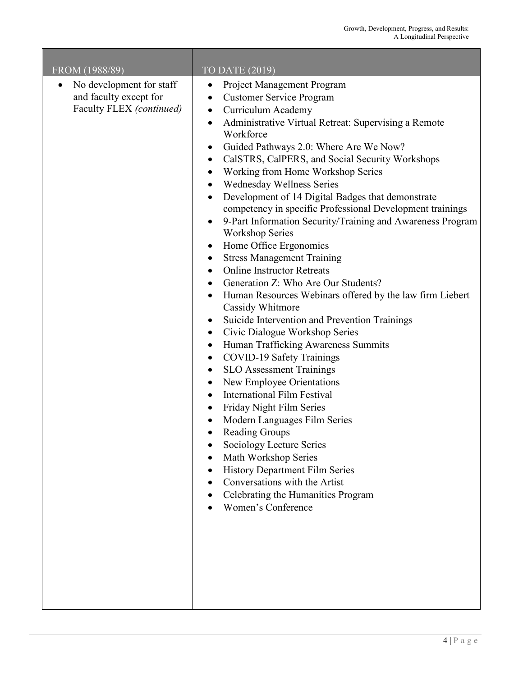| FROM (1988/89)                                                                              | TO DATE (2019)                                                                                                                                                                                                                                                                                                                                                                                                                                                                                                                                                                                                                                                                                                                                                                                                                                                                                                                                                                                                                                                                                                                                                                                                                                                                                                                                                                                                                                                                                                                              |
|---------------------------------------------------------------------------------------------|---------------------------------------------------------------------------------------------------------------------------------------------------------------------------------------------------------------------------------------------------------------------------------------------------------------------------------------------------------------------------------------------------------------------------------------------------------------------------------------------------------------------------------------------------------------------------------------------------------------------------------------------------------------------------------------------------------------------------------------------------------------------------------------------------------------------------------------------------------------------------------------------------------------------------------------------------------------------------------------------------------------------------------------------------------------------------------------------------------------------------------------------------------------------------------------------------------------------------------------------------------------------------------------------------------------------------------------------------------------------------------------------------------------------------------------------------------------------------------------------------------------------------------------------|
| No development for staff<br>$\bullet$<br>and faculty except for<br>Faculty FLEX (continued) | Project Management Program<br>$\bullet$<br><b>Customer Service Program</b><br>$\bullet$<br>Curriculum Academy<br>$\bullet$<br>Administrative Virtual Retreat: Supervising a Remote<br>Workforce<br>Guided Pathways 2.0: Where Are We Now?<br>$\bullet$<br>CalSTRS, CalPERS, and Social Security Workshops<br>$\bullet$<br>Working from Home Workshop Series<br>$\bullet$<br>Wednesday Wellness Series<br>Development of 14 Digital Badges that demonstrate<br>$\bullet$<br>competency in specific Professional Development trainings<br>9-Part Information Security/Training and Awareness Program<br><b>Workshop Series</b><br>Home Office Ergonomics<br><b>Stress Management Training</b><br>$\bullet$<br><b>Online Instructor Retreats</b><br>$\bullet$<br>Generation Z: Who Are Our Students?<br>Human Resources Webinars offered by the law firm Liebert<br>Cassidy Whitmore<br>Suicide Intervention and Prevention Trainings<br>$\bullet$<br>Civic Dialogue Workshop Series<br>$\bullet$<br>Human Trafficking Awareness Summits<br>$\bullet$<br><b>COVID-19 Safety Trainings</b><br>$\bullet$<br><b>SLO Assessment Trainings</b><br>٠<br>New Employee Orientations<br>$\bullet$<br><b>International Film Festival</b><br>$\bullet$<br>Friday Night Film Series<br>$\bullet$<br>Modern Languages Film Series<br><b>Reading Groups</b><br>Sociology Lecture Series<br>Math Workshop Series<br><b>History Department Film Series</b><br>Conversations with the Artist<br>Celebrating the Humanities Program<br><b>Women's Conference</b> |

**Tara** 

 $\overline{\phantom{a}}$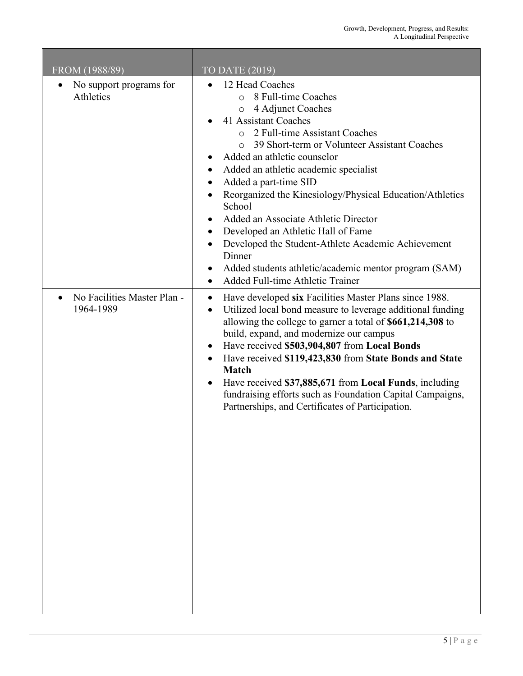| FROM (1988/89)                           | TO DATE (2019)                                                                                                                                                                                                                                                                                                                                                                                                                                                                                                                                                                                                                  |
|------------------------------------------|---------------------------------------------------------------------------------------------------------------------------------------------------------------------------------------------------------------------------------------------------------------------------------------------------------------------------------------------------------------------------------------------------------------------------------------------------------------------------------------------------------------------------------------------------------------------------------------------------------------------------------|
| No support programs for<br>Athletics     | 12 Head Coaches<br>8 Full-time Coaches<br>$\circ$<br>4 Adjunct Coaches<br>$\circ$<br>41 Assistant Coaches<br>o 2 Full-time Assistant Coaches<br>39 Short-term or Volunteer Assistant Coaches<br>$\Omega$<br>Added an athletic counselor<br>Added an athletic academic specialist<br>Added a part-time SID<br>Reorganized the Kinesiology/Physical Education/Athletics<br>School<br>Added an Associate Athletic Director<br>Developed an Athletic Hall of Fame<br>٠<br>Developed the Student-Athlete Academic Achievement<br>Dinner<br>Added students athletic/academic mentor program (SAM)<br>Added Full-time Athletic Trainer |
| No Facilities Master Plan -<br>1964-1989 | Have developed six Facilities Master Plans since 1988.<br>٠<br>Utilized local bond measure to leverage additional funding<br>$\bullet$<br>allowing the college to garner a total of \$661,214,308 to<br>build, expand, and modernize our campus<br>Have received \$503,904,807 from Local Bonds<br>Have received \$119,423,830 from State Bonds and State<br><b>Match</b><br>Have received \$37,885,671 from Local Funds, including<br>fundraising efforts such as Foundation Capital Campaigns,<br>Partnerships, and Certificates of Participation.                                                                            |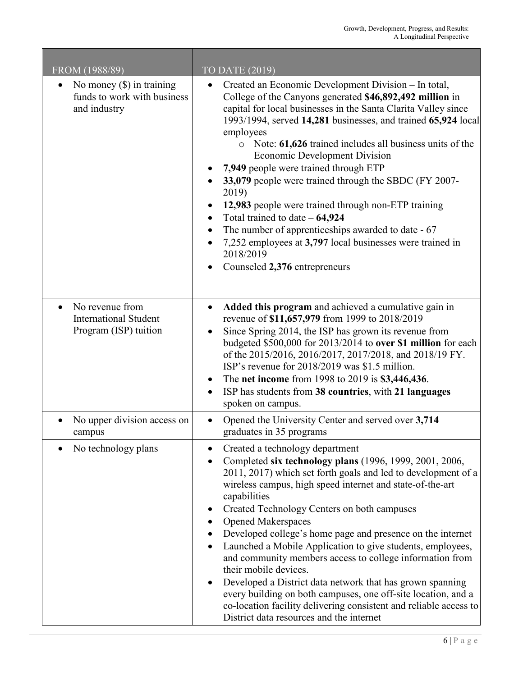and the state of the state of the

| FROM (1988/89)                                                                        | TO DATE $(2019)$                                                                                                                                                                                                                                                                                                                                                                                                                                                                                                                                                                                                                                                                                                                                                                                    |
|---------------------------------------------------------------------------------------|-----------------------------------------------------------------------------------------------------------------------------------------------------------------------------------------------------------------------------------------------------------------------------------------------------------------------------------------------------------------------------------------------------------------------------------------------------------------------------------------------------------------------------------------------------------------------------------------------------------------------------------------------------------------------------------------------------------------------------------------------------------------------------------------------------|
| No money $(\$)$ in training<br>funds to work with business<br>and industry            | Created an Economic Development Division - In total,<br>$\bullet$<br>College of the Canyons generated \$46,892,492 million in<br>capital for local businesses in the Santa Clarita Valley since<br>1993/1994, served 14,281 businesses, and trained 65,924 local<br>employees<br>$\circ$ Note: 61,626 trained includes all business units of the<br><b>Economic Development Division</b><br>7,949 people were trained through ETP<br>33,079 people were trained through the SBDC (FY 2007-<br>2019)<br>12,983 people were trained through non-ETP training<br>Total trained to date $-64,924$<br>$\bullet$<br>The number of apprenticeships awarded to date - 67<br>$\bullet$<br>7,252 employees at 3,797 local businesses were trained in<br>2018/2019<br>Counseled 2,376 entrepreneurs            |
| No revenue from<br>$\bullet$<br><b>International Student</b><br>Program (ISP) tuition | Added this program and achieved a cumulative gain in<br>$\bullet$<br>revenue of \$11,657,979 from 1999 to 2018/2019<br>Since Spring 2014, the ISP has grown its revenue from<br>$\bullet$<br>budgeted \$500,000 for 2013/2014 to over \$1 million for each<br>of the 2015/2016, 2016/2017, 2017/2018, and 2018/19 FY.<br>ISP's revenue for 2018/2019 was \$1.5 million.<br>The net income from 1998 to 2019 is \$3,446,436.<br>$\bullet$<br>ISP has students from 38 countries, with 21 languages<br>spoken on campus.                                                                                                                                                                                                                                                                              |
| No upper division access on<br>campus                                                 | Opened the University Center and served over 3,714<br>$\bullet$<br>graduates in 35 programs                                                                                                                                                                                                                                                                                                                                                                                                                                                                                                                                                                                                                                                                                                         |
| No technology plans                                                                   | Created a technology department<br>Completed six technology plans (1996, 1999, 2001, 2006,<br>٠<br>2011, 2017) which set forth goals and led to development of a<br>wireless campus, high speed internet and state-of-the-art<br>capabilities<br>Created Technology Centers on both campuses<br><b>Opened Makerspaces</b><br>Developed college's home page and presence on the internet<br>٠<br>Launched a Mobile Application to give students, employees,<br>and community members access to college information from<br>their mobile devices.<br>Developed a District data network that has grown spanning<br>٠<br>every building on both campuses, one off-site location, and a<br>co-location facility delivering consistent and reliable access to<br>District data resources and the internet |

П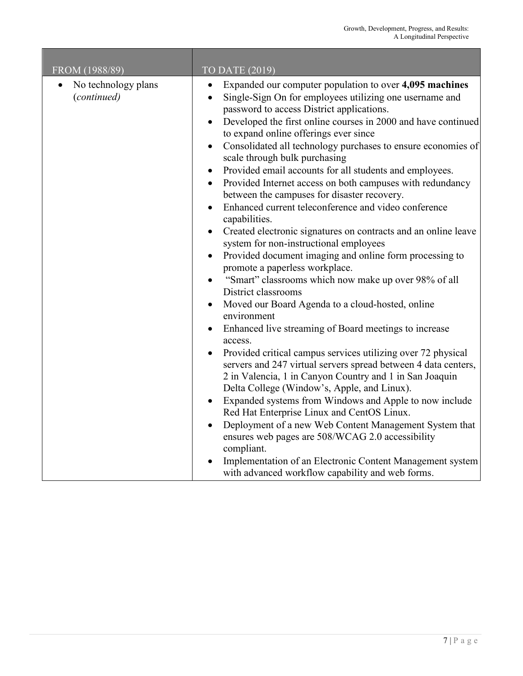| FROM (1988/89)                     | TO DATE (2019)                                                                                                                                                                                                                                                                                                                                                                                                                                                                                                                                                                                                                                                                                                                                                                                                                                                                                                                                                                                                                                                                                                                                                                                                                                                                                                                                                                                                                                                                                                                                                                                                                                                                                                                                                                  |
|------------------------------------|---------------------------------------------------------------------------------------------------------------------------------------------------------------------------------------------------------------------------------------------------------------------------------------------------------------------------------------------------------------------------------------------------------------------------------------------------------------------------------------------------------------------------------------------------------------------------------------------------------------------------------------------------------------------------------------------------------------------------------------------------------------------------------------------------------------------------------------------------------------------------------------------------------------------------------------------------------------------------------------------------------------------------------------------------------------------------------------------------------------------------------------------------------------------------------------------------------------------------------------------------------------------------------------------------------------------------------------------------------------------------------------------------------------------------------------------------------------------------------------------------------------------------------------------------------------------------------------------------------------------------------------------------------------------------------------------------------------------------------------------------------------------------------|
| No technology plans<br>(continued) | Expanded our computer population to over 4,095 machines<br>Single-Sign On for employees utilizing one username and<br>password to access District applications.<br>Developed the first online courses in 2000 and have continued<br>$\bullet$<br>to expand online offerings ever since<br>Consolidated all technology purchases to ensure economies of<br>$\bullet$<br>scale through bulk purchasing<br>Provided email accounts for all students and employees.<br>$\bullet$<br>Provided Internet access on both campuses with redundancy<br>$\bullet$<br>between the campuses for disaster recovery.<br>Enhanced current teleconference and video conference<br>$\bullet$<br>capabilities.<br>Created electronic signatures on contracts and an online leave<br>system for non-instructional employees<br>Provided document imaging and online form processing to<br>$\bullet$<br>promote a paperless workplace.<br>"Smart" classrooms which now make up over 98% of all<br>$\bullet$<br>District classrooms<br>Moved our Board Agenda to a cloud-hosted, online<br>environment<br>Enhanced live streaming of Board meetings to increase<br>access.<br>Provided critical campus services utilizing over 72 physical<br>$\bullet$<br>servers and 247 virtual servers spread between 4 data centers,<br>2 in Valencia, 1 in Canyon Country and 1 in San Joaquin<br>Delta College (Window's, Apple, and Linux).<br>Expanded systems from Windows and Apple to now include<br>Red Hat Enterprise Linux and CentOS Linux.<br>Deployment of a new Web Content Management System that<br>$\bullet$<br>ensures web pages are 508/WCAG 2.0 accessibility<br>compliant.<br>Implementation of an Electronic Content Management system<br>with advanced workflow capability and web forms. |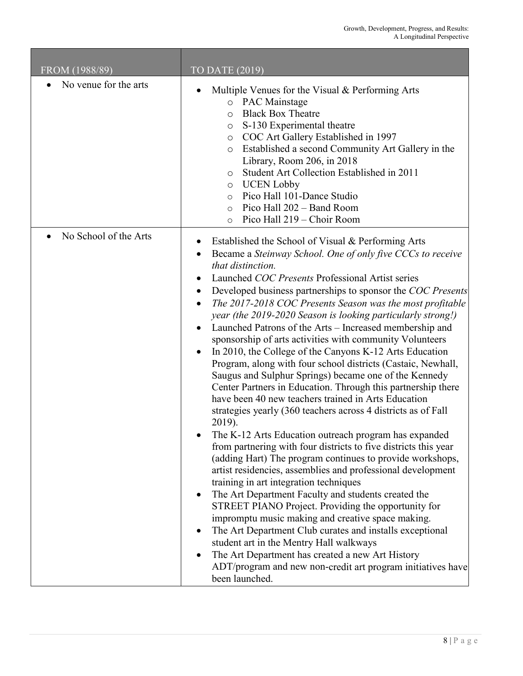| FROM (1988/89)        | TO DATE (2019)                                                                                                                                                                                                                                                                                                                                                                                                                                                                                                                                                                                                                                                                                                                                                                                                                                                                                                                                                                                                                                                                                                                                                                                                                                                                                                                                                                                                                                                                                                                                                                                                                       |
|-----------------------|--------------------------------------------------------------------------------------------------------------------------------------------------------------------------------------------------------------------------------------------------------------------------------------------------------------------------------------------------------------------------------------------------------------------------------------------------------------------------------------------------------------------------------------------------------------------------------------------------------------------------------------------------------------------------------------------------------------------------------------------------------------------------------------------------------------------------------------------------------------------------------------------------------------------------------------------------------------------------------------------------------------------------------------------------------------------------------------------------------------------------------------------------------------------------------------------------------------------------------------------------------------------------------------------------------------------------------------------------------------------------------------------------------------------------------------------------------------------------------------------------------------------------------------------------------------------------------------------------------------------------------------|
| No venue for the arts | Multiple Venues for the Visual & Performing Arts<br>o PAC Mainstage<br><b>Black Box Theatre</b><br>$\circ$<br>S-130 Experimental theatre<br>$\circ$<br>o COC Art Gallery Established in 1997<br>Established a second Community Art Gallery in the<br>$\circ$<br>Library, Room 206, in 2018<br>Student Art Collection Established in 2011<br>$\circ$<br><b>UCEN Lobby</b><br>$\circ$<br>Pico Hall 101-Dance Studio<br>$\circ$<br>Pico Hall 202 - Band Room<br>$\circ$<br>Pico Hall 219 – Choir Room<br>$\circ$                                                                                                                                                                                                                                                                                                                                                                                                                                                                                                                                                                                                                                                                                                                                                                                                                                                                                                                                                                                                                                                                                                                        |
| No School of the Arts | Established the School of Visual & Performing Arts<br>Became a Steinway School. One of only five CCCs to receive<br>that distinction.<br>Launched COC Presents Professional Artist series<br>Developed business partnerships to sponsor the COC Presents<br>The 2017-2018 COC Presents Season was the most profitable<br>٠<br>year (the 2019-2020 Season is looking particularly strong!)<br>Launched Patrons of the Arts - Increased membership and<br>sponsorship of arts activities with community Volunteers<br>In 2010, the College of the Canyons K-12 Arts Education<br>$\bullet$<br>Program, along with four school districts (Castaic, Newhall,<br>Saugus and Sulphur Springs) became one of the Kennedy<br>Center Partners in Education. Through this partnership there<br>have been 40 new teachers trained in Arts Education<br>strategies yearly (360 teachers across 4 districts as of Fall<br>2019).<br>The K-12 Arts Education outreach program has expanded<br>from partnering with four districts to five districts this year<br>(adding Hart) The program continues to provide workshops,<br>artist residencies, assemblies and professional development<br>training in art integration techniques<br>The Art Department Faculty and students created the<br>STREET PIANO Project. Providing the opportunity for<br>impromptu music making and creative space making.<br>The Art Department Club curates and installs exceptional<br>student art in the Mentry Hall walkways<br>The Art Department has created a new Art History<br>ADT/program and new non-credit art program initiatives have<br>been launched. |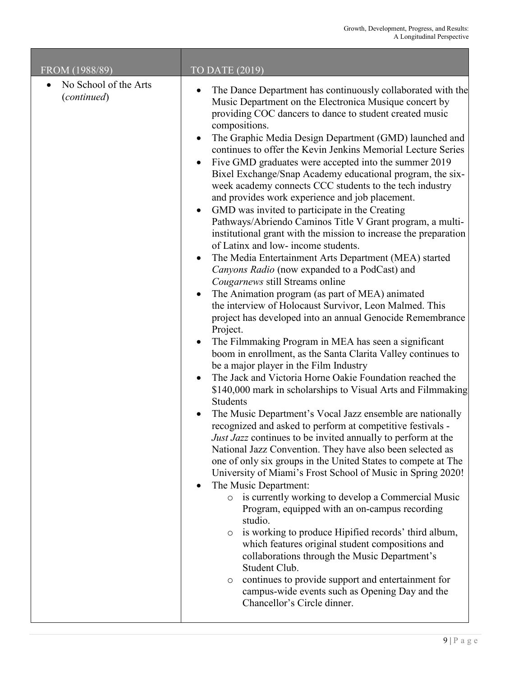$\mathcal{L}$ 

| FROM (1988/89)                                    | <b>TO DATE (2019)</b>                                                                                                                                                                                                                                                                                                                                                                                                                                                                                                                                                                                                                                                                                                                                                                                                                                                                                                                                                                                                                                                                                                                                                                                                                                                                                                                                                                                                                                                                                                                                                                                                                                                                                                                                                                                                                                                                                                                                                                                                                                                                                                                                                                                                                                                                                                                                  |
|---------------------------------------------------|--------------------------------------------------------------------------------------------------------------------------------------------------------------------------------------------------------------------------------------------------------------------------------------------------------------------------------------------------------------------------------------------------------------------------------------------------------------------------------------------------------------------------------------------------------------------------------------------------------------------------------------------------------------------------------------------------------------------------------------------------------------------------------------------------------------------------------------------------------------------------------------------------------------------------------------------------------------------------------------------------------------------------------------------------------------------------------------------------------------------------------------------------------------------------------------------------------------------------------------------------------------------------------------------------------------------------------------------------------------------------------------------------------------------------------------------------------------------------------------------------------------------------------------------------------------------------------------------------------------------------------------------------------------------------------------------------------------------------------------------------------------------------------------------------------------------------------------------------------------------------------------------------------------------------------------------------------------------------------------------------------------------------------------------------------------------------------------------------------------------------------------------------------------------------------------------------------------------------------------------------------------------------------------------------------------------------------------------------------|
| No School of the Arts<br>$\bullet$<br>(continued) | The Dance Department has continuously collaborated with the<br>٠<br>Music Department on the Electronica Musique concert by<br>providing COC dancers to dance to student created music<br>compositions.<br>The Graphic Media Design Department (GMD) launched and<br>continues to offer the Kevin Jenkins Memorial Lecture Series<br>Five GMD graduates were accepted into the summer 2019<br>Bixel Exchange/Snap Academy educational program, the six-<br>week academy connects CCC students to the tech industry<br>and provides work experience and job placement.<br>GMD was invited to participate in the Creating<br>٠<br>Pathways/Abriendo Caminos Title V Grant program, a multi-<br>institutional grant with the mission to increase the preparation<br>of Latinx and low- income students.<br>The Media Entertainment Arts Department (MEA) started<br>$\bullet$<br>Canyons Radio (now expanded to a PodCast) and<br>Cougarnews still Streams online<br>The Animation program (as part of MEA) animated<br>the interview of Holocaust Survivor, Leon Malmed. This<br>project has developed into an annual Genocide Remembrance<br>Project.<br>The Filmmaking Program in MEA has seen a significant<br>boom in enrollment, as the Santa Clarita Valley continues to<br>be a major player in the Film Industry<br>The Jack and Victoria Horne Oakie Foundation reached the<br>\$140,000 mark in scholarships to Visual Arts and Filmmaking<br>Students<br>The Music Department's Vocal Jazz ensemble are nationally<br>recognized and asked to perform at competitive festivals -<br>Just Jazz continues to be invited annually to perform at the<br>National Jazz Convention. They have also been selected as<br>one of only six groups in the United States to compete at The<br>University of Miami's Frost School of Music in Spring 2020!<br>The Music Department:<br>is currently working to develop a Commercial Music<br>$\circ$<br>Program, equipped with an on-campus recording<br>studio.<br>is working to produce Hipified records' third album,<br>$\circ$<br>which features original student compositions and<br>collaborations through the Music Department's<br>Student Club.<br>continues to provide support and entertainment for<br>$\circ$<br>campus-wide events such as Opening Day and the<br>Chancellor's Circle dinner. |